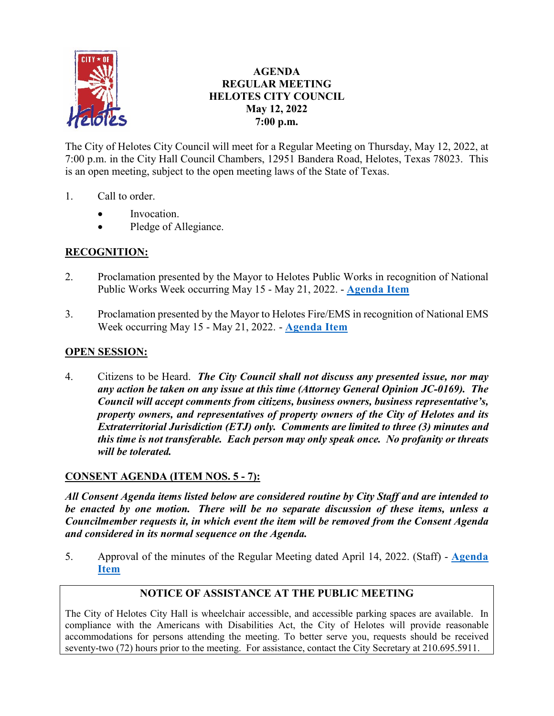

# **AGENDA REGULAR MEETING HELOTES CITY COUNCIL May 12, 2022 7:00 p.m.**

The City of Helotes City Council will meet for a Regular Meeting on Thursday, May 12, 2022, at 7:00 p.m. in the City Hall Council Chambers, 12951 Bandera Road, Helotes, Texas 78023. This is an open meeting, subject to the open meeting laws of the State of Texas.

- 1. Call to order.
	- Invocation.
	- Pledge of Allegiance.

# **RECOGNITION:**

- 2. Proclamation presented by the Mayor to Helotes Public Works in recognition of National Public Works Week occurring May 15 - May 21, 2022. - **[Agenda Item](https://helotes-tx.gov/wp-content/uploads/2022/05/2-PW-Week-2022.pdf)**
- 3. Proclamation presented by the Mayor to Helotes Fire/EMS in recognition of National EMS Week occurring May 15 - May 21, 2022. - **[Agenda Item](https://helotes-tx.gov/wp-content/uploads/2022/05/3-EMS-Week-2022.pdf)**

# **OPEN SESSION:**

4. Citizens to be Heard. *The City Council shall not discuss any presented issue, nor may any action be taken on any issue at this time (Attorney General Opinion JC-0169). The Council will accept comments from citizens, business owners, business representative's, property owners, and representatives of property owners of the City of Helotes and its Extraterritorial Jurisdiction (ETJ) only. Comments are limited to three (3) minutes and this time is not transferable. Each person may only speak once. No profanity or threats will be tolerated.*

# **CONSENT AGENDA (ITEM NOS. 5 - 7):**

*All Consent Agenda items listed below are considered routine by City Staff and are intended to be enacted by one motion. There will be no separate discussion of these items, unless a Councilmember requests it, in which event the item will be removed from the Consent Agenda and considered in its normal sequence on the Agenda.* 

5. Approval of the minutes of the Regular Meeting dated April 14, 2022. (Staff) - **[Agenda](https://helotes-tx.gov/wp-content/uploads/2022/05/5-Minutes.pdf)  [Item](https://helotes-tx.gov/wp-content/uploads/2022/05/5-Minutes.pdf)**

# **NOTICE OF ASSISTANCE AT THE PUBLIC MEETING**

The City of Helotes City Hall is wheelchair accessible, and accessible parking spaces are available. In compliance with the Americans with Disabilities Act, the City of Helotes will provide reasonable accommodations for persons attending the meeting. To better serve you, requests should be received seventy-two (72) hours prior to the meeting. For assistance, contact the City Secretary at 210.695.5911.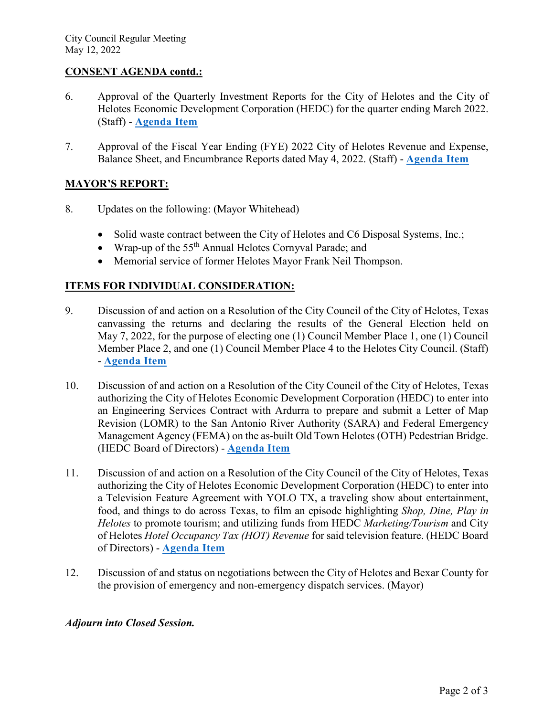#### **CONSENT AGENDA contd.:**

- 6. Approval of the Quarterly Investment Reports for the City of Helotes and the City of Helotes Economic Development Corporation (HEDC) for the quarter ending March 2022. (Staff) - **[Agenda Item](https://helotes-tx.gov/wp-content/uploads/2022/05/6-Qtr-Reports.pdf)**
- 7. Approval of the Fiscal Year Ending (FYE) 2022 City of Helotes Revenue and Expense, Balance Sheet, and Encumbrance Reports dated May 4, 2022. (Staff) - **[Agenda Item](https://helotes-tx.gov/wp-content/uploads/2022/05/7-Financials.pdf)**

# **MAYOR'S REPORT:**

- 8. Updates on the following: (Mayor Whitehead)
	- Solid waste contract between the City of Helotes and C6 Disposal Systems, Inc.;
	- Wrap-up of the 55<sup>th</sup> Annual Helotes Cornyval Parade; and
	- Memorial service of former Helotes Mayor Frank Neil Thompson.

### **ITEMS FOR INDIVIDUAL CONSIDERATION:**

- 9. Discussion of and action on a Resolution of the City Council of the City of Helotes, Texas canvassing the returns and declaring the results of the General Election held on May 7, 2022, for the purpose of electing one (1) Council Member Place 1, one (1) Council Member Place 2, and one (1) Council Member Place 4 to the Helotes City Council. (Staff) - **[Agenda Item](https://helotes-tx.gov/wp-content/uploads/2022/05/9-Election-Canvass.pdf)**
- 10. Discussion of and action on a Resolution of the City Council of the City of Helotes, Texas authorizing the City of Helotes Economic Development Corporation (HEDC) to enter into an Engineering Services Contract with Ardurra to prepare and submit a Letter of Map Revision (LOMR) to the San Antonio River Authority (SARA) and Federal Emergency Management Agency (FEMA) on the as-built Old Town Helotes (OTH) Pedestrian Bridge. (HEDC Board of Directors) - **[Agenda Item](https://helotes-tx.gov/wp-content/uploads/2022/05/10-EDC-OTH-Bridge.pdf)**
- 11. Discussion of and action on a Resolution of the City Council of the City of Helotes, Texas authorizing the City of Helotes Economic Development Corporation (HEDC) to enter into a Television Feature Agreement with YOLO TX, a traveling show about entertainment, food, and things to do across Texas, to film an episode highlighting *Shop, Dine, Play in Helotes* to promote tourism; and utilizing funds from HEDC *Marketing/Tourism* and City of Helotes *Hotel Occupancy Tax (HOT) Revenue* for said television feature. (HEDC Board of Directors) - **[Agenda Item](https://helotes-tx.gov/wp-content/uploads/2022/05/11-EDC-YOLO-TX.pdf)**
- 12. Discussion of and status on negotiations between the City of Helotes and Bexar County for the provision of emergency and non-emergency dispatch services. (Mayor)

#### *Adjourn into Closed Session.*